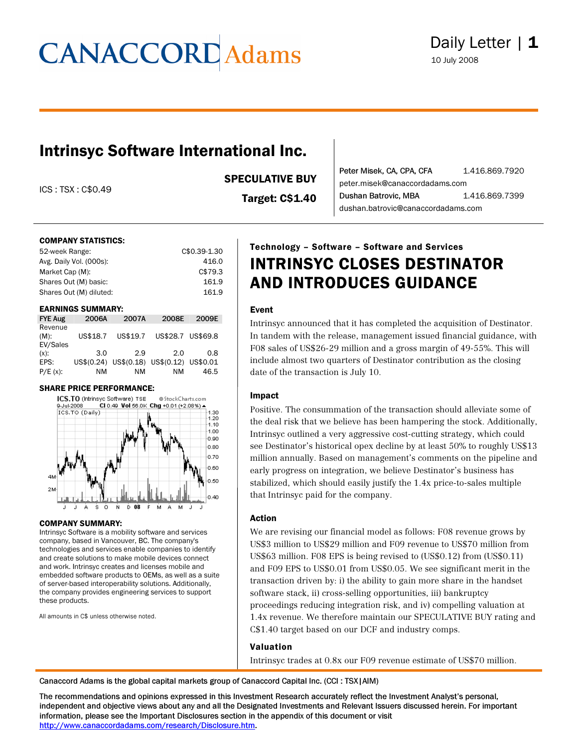### Intrinsyc Software International Inc.

ICS : TSX : C\$0.49

SPECULATIVE BUY

Target: C\$1.40

Peter Misek, CA, CPA, CFA 1.416.869.7920 peter.misek@canaccordadams.com Dushan Batrovic, MBA 1.416.869.7399 dushan.batrovic@canaccordadams.com

#### COMPANY STATISTICS:

| 52-week Range:          | C\$0.39-1.30 |
|-------------------------|--------------|
| Avg. Daily Vol. (000s): | 416.0        |
| Market Cap (M):         | C\$79.3      |
| Shares Out (M) basic:   | 161.9        |
| Shares Out (M) diluted: | 161.9        |
|                         |              |

#### EARNINGS SUMMARY:

| <b>FYE Aug</b>                 | 2006A    | 2007A    | 2008E                                     | 2009E |
|--------------------------------|----------|----------|-------------------------------------------|-------|
| Revenue<br>$(M)$ :<br>EV/Sales | US\$18.7 | US\$19.7 | US\$28.7 US\$69.8                         |       |
| $(x)$ :                        | 3.0      | 2.9      | 2.0                                       | 0.8   |
| EPS:                           |          |          | US\$(0.24) US\$(0.18) US\$(0.12) US\$0.01 |       |
| $P/E(x)$ :                     | ΝM       | ΝM       | ΝM                                        | 46.5  |

#### SHARE PRICE PERFORMANCE:



#### COMPANY SUMMARY:

Intrinsyc Software is a mobility software and services company, based in Vancouver, BC. The company's technologies and services enable companies to identify and create solutions to make mobile devices connect and work. Intrinsyc creates and licenses mobile and embedded software products to OEMs, as well as a suite of server-based interoperability solutions. Additionally, the company provides engineering services to support these products.

All amounts in C\$ unless otherwise noted.

### Technology – Software – Software and Services INTRINSYC CLOSES DESTINATOR AND INTRODUCES GUIDANCE

#### Event

Intrinsyc announced that it has completed the acquisition of Destinator. In tandem with the release, management issued financial guidance, with F08 sales of US\$26-29 million and a gross margin of 49-55%. This will include almost two quarters of Destinator contribution as the closing date of the transaction is July 10.

#### Impact

Positive. The consummation of the transaction should alleviate some of the deal risk that we believe has been hampering the stock. Additionally, Intrinsyc outlined a very aggressive cost-cutting strategy, which could see Destinator's historical opex decline by at least 50% to roughly US\$13 million annually. Based on management's comments on the pipeline and early progress on integration, we believe Destinator's business has stabilized, which should easily justify the 1.4x price-to-sales multiple that Intrinsyc paid for the company.

#### Action

We are revising our financial model as follows: F08 revenue grows by US\$3 million to US\$29 million and F09 revenue to US\$70 million from US\$63 million. F08 EPS is being revised to (US\$0.12) from (US\$0.11) and F09 EPS to US\$0.01 from US\$0.05. We see significant merit in the transaction driven by: i) the ability to gain more share in the handset software stack, ii) cross-selling opportunities, iii) bankruptcy proceedings reducing integration risk, and iv) compelling valuation at 1.4x revenue. We therefore maintain our SPECULATIVE BUY rating and C\$1.40 target based on our DCF and industry comps.

#### Valuation

Intrinsyc trades at 0.8x our F09 revenue estimate of US\$70 million.

Canaccord Adams is the global capital markets group of Canaccord Capital Inc. (CCI : TSX|AIM)

The recommendations and opinions expressed in this Investment Research accurately reflect the Investment Analyst's personal, independent and objective views about any and all the Designated Investments and Relevant Issuers discussed herein. For important information, please see the Important Disclosures section in the appendix of this document or visit [http://www.canaccordadams.com/research/Disclosure.htm.](http://www.canaccordadams.com/research/Disclosure.htm)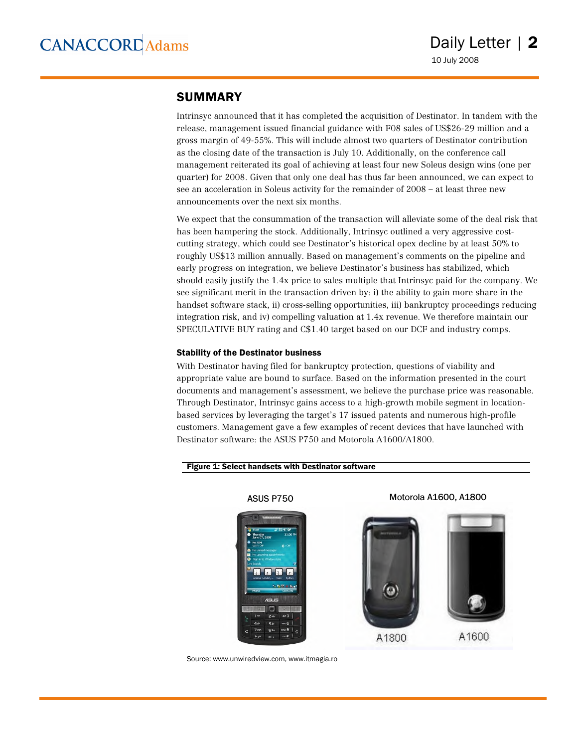#### SUMMARY

Intrinsyc announced that it has completed the acquisition of Destinator. In tandem with the release, management issued financial guidance with F08 sales of US\$26-29 million and a gross margin of 49-55%. This will include almost two quarters of Destinator contribution as the closing date of the transaction is July 10. Additionally, on the conference call management reiterated its goal of achieving at least four new Soleus design wins (one per quarter) for 2008. Given that only one deal has thus far been announced, we can expect to see an acceleration in Soleus activity for the remainder of 2008 – at least three new announcements over the next six months.

We expect that the consummation of the transaction will alleviate some of the deal risk that has been hampering the stock. Additionally, Intrinsyc outlined a very aggressive costcutting strategy, which could see Destinator's historical opex decline by at least 50% to roughly US\$13 million annually. Based on management's comments on the pipeline and early progress on integration, we believe Destinator's business has stabilized, which should easily justify the 1.4x price to sales multiple that Intrinsyc paid for the company. We see significant merit in the transaction driven by: i) the ability to gain more share in the handset software stack, ii) cross-selling opportunities, iii) bankruptcy proceedings reducing integration risk, and iv) compelling valuation at 1.4x revenue. We therefore maintain our SPECULATIVE BUY rating and C\$1.40 target based on our DCF and industry comps.

#### Stability of the Destinator business

With Destinator having filed for bankruptcy protection, questions of viability and appropriate value are bound to surface. Based on the information presented in the court documents and management's assessment, we believe the purchase price was reasonable. Through Destinator, Intrinsyc gains access to a high-growth mobile segment in locationbased services by leveraging the target's 17 issued patents and numerous high-profile customers. Management gave a few examples of recent devices that have launched with Destinator software: the ASUS P750 and Motorola A1600/A1800.



#### Figure 1: Select handsets with Destinator software

Source: www.unwiredview.com, www.itmagia.ro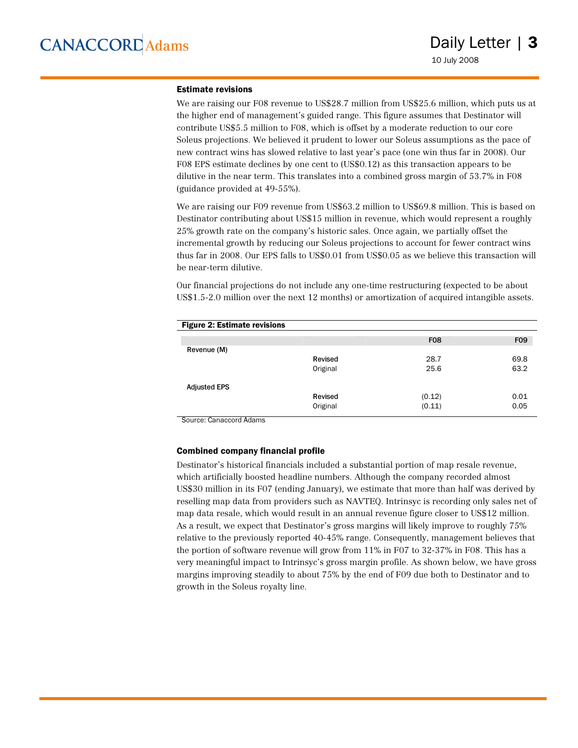#### Estimate revisions

We are raising our F08 revenue to US\$28.7 million from US\$25.6 million, which puts us at the higher end of management's guided range. This figure assumes that Destinator will contribute US\$5.5 million to F08, which is offset by a moderate reduction to our core Soleus projections. We believed it prudent to lower our Soleus assumptions as the pace of new contract wins has slowed relative to last year's pace (one win thus far in 2008). Our F08 EPS estimate declines by one cent to (US\$0.12) as this transaction appears to be dilutive in the near term. This translates into a combined gross margin of 53.7% in F08 (guidance provided at 49-55%).

We are raising our F09 revenue from US\$63.2 million to US\$69.8 million. This is based on Destinator contributing about US\$15 million in revenue, which would represent a roughly 25% growth rate on the company's historic sales. Once again, we partially offset the incremental growth by reducing our Soleus projections to account for fewer contract wins thus far in 2008. Our EPS falls to US\$0.01 from US\$0.05 as we believe this transaction will be near-term dilutive.

Our financial projections do not include any one-time restructuring (expected to be about US\$1.5-2.0 million over the next 12 months) or amortization of acquired intangible assets.

| <b>Figure 2: Estimate revisions</b> |          |            |            |
|-------------------------------------|----------|------------|------------|
|                                     |          | <b>F08</b> | <b>F09</b> |
| Revenue (M)                         |          |            |            |
|                                     | Revised  | 28.7       | 69.8       |
|                                     | Original | 25.6       | 63.2       |
| <b>Adjusted EPS</b>                 |          |            |            |
|                                     | Revised  | (0.12)     | 0.01       |
|                                     | Original | (0.11)     | 0.05       |

Source: Canaccord Adams

#### Combined company financial profile

Destinator's historical financials included a substantial portion of map resale revenue, which artificially boosted headline numbers. Although the company recorded almost US\$30 million in its F07 (ending January), we estimate that more than half was derived by reselling map data from providers such as NAVTEQ. Intrinsyc is recording only sales net of map data resale, which would result in an annual revenue figure closer to US\$12 million. As a result, we expect that Destinator's gross margins will likely improve to roughly 75% relative to the previously reported 40-45% range. Consequently, management believes that the portion of software revenue will grow from 11% in F07 to 32-37% in F08. This has a very meaningful impact to Intrinsyc's gross margin profile. As shown below, we have gross margins improving steadily to about 75% by the end of F09 due both to Destinator and to growth in the Soleus royalty line.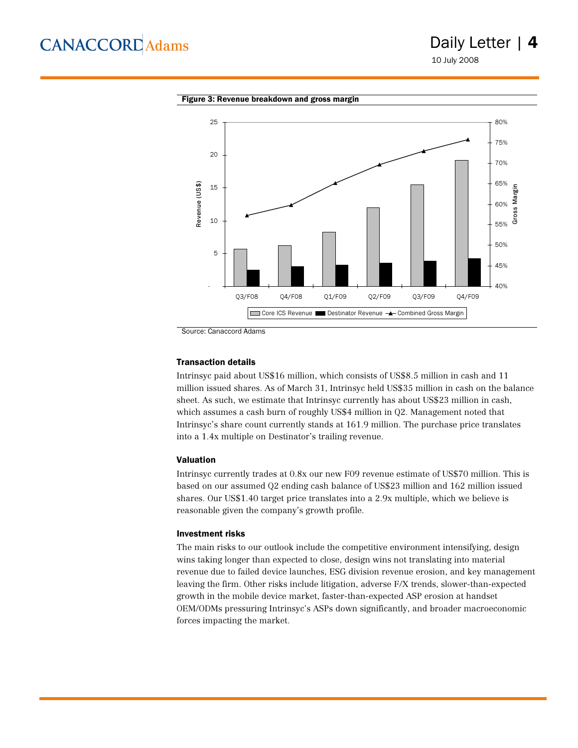### Daily Letter | 4

10 July 2008



Figure 3: Revenue breakdown and gross margin

Source: Canaccord Adams

#### Transaction details

Intrinsyc paid about US\$16 million, which consists of US\$8.5 million in cash and 11 million issued shares. As of March 31, Intrinsyc held US\$35 million in cash on the balance sheet. As such, we estimate that Intrinsyc currently has about US\$23 million in cash, which assumes a cash burn of roughly US\$4 million in Q2. Management noted that Intrinsyc's share count currently stands at 161.9 million. The purchase price translates into a 1.4x multiple on Destinator's trailing revenue.

#### Valuation

Intrinsyc currently trades at 0.8x our new F09 revenue estimate of US\$70 million. This is based on our assumed Q2 ending cash balance of US\$23 million and 162 million issued shares. Our US\$1.40 target price translates into a 2.9x multiple, which we believe is reasonable given the company's growth profile.

#### Investment risks

The main risks to our outlook include the competitive environment intensifying, design wins taking longer than expected to close, design wins not translating into material revenue due to failed device launches, ESG division revenue erosion, and key management leaving the firm. Other risks include litigation, adverse F/X trends, slower-than-expected growth in the mobile device market, faster-than-expected ASP erosion at handset OEM/ODMs pressuring Intrinsyc's ASPs down significantly, and broader macroeconomic forces impacting the market.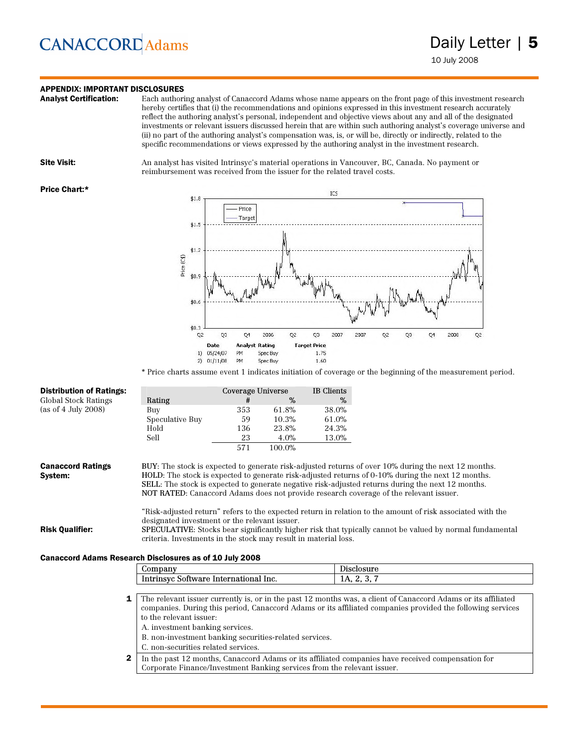### **APPENDIX: IMPORTANT DISCLOSURES**<br>**Analyst Certification:** Each authori

Each authoring analyst of Canaccord Adams whose name appears on the front page of this investment research hereby certifies that (i) the recommendations and opinions expressed in this investment research accurately reflect the authoring analyst's personal, independent and objective views about any and all of the designated investments or relevant issuers discussed herein that are within such authoring analyst's coverage universe and (ii) no part of the authoring analyst's compensation was, is, or will be, directly or indirectly, related to the specific recommendations or views expressed by the authoring analyst in the investment research.

**Site Visit:** An analyst has visited Intrinsyc's material operations in Vancouver, BC, Canada. No payment or reimbursement was received from the issuer for the related travel costs.

#### Price Chart:\*



\* Price charts assume event 1 indicates initiation of coverage or the beginning of the measurement period.

| Global Stock Ratings                                                                                                     |                                                                                                                                                             |     | Coverage Universe<br>IB Clients |       |                                                                                                                                                                                                                                                                                                                                                                                                                                                                                                                                                                                                                                  |
|--------------------------------------------------------------------------------------------------------------------------|-------------------------------------------------------------------------------------------------------------------------------------------------------------|-----|---------------------------------|-------|----------------------------------------------------------------------------------------------------------------------------------------------------------------------------------------------------------------------------------------------------------------------------------------------------------------------------------------------------------------------------------------------------------------------------------------------------------------------------------------------------------------------------------------------------------------------------------------------------------------------------------|
|                                                                                                                          | Rating                                                                                                                                                      | #   | %                               |       | %                                                                                                                                                                                                                                                                                                                                                                                                                                                                                                                                                                                                                                |
| (as of 4 July 2008)                                                                                                      | Buy                                                                                                                                                         | 353 | 61.8%                           | 38.0% |                                                                                                                                                                                                                                                                                                                                                                                                                                                                                                                                                                                                                                  |
|                                                                                                                          | Speculative Buy                                                                                                                                             | 59  | 10.3%                           | 61.0% |                                                                                                                                                                                                                                                                                                                                                                                                                                                                                                                                                                                                                                  |
|                                                                                                                          | Hold                                                                                                                                                        | 136 | 23.8%                           | 24.3% |                                                                                                                                                                                                                                                                                                                                                                                                                                                                                                                                                                                                                                  |
|                                                                                                                          | Sell                                                                                                                                                        | 23  | 4.0%                            | 13.0% |                                                                                                                                                                                                                                                                                                                                                                                                                                                                                                                                                                                                                                  |
|                                                                                                                          |                                                                                                                                                             | 571 | 100.0%                          |       |                                                                                                                                                                                                                                                                                                                                                                                                                                                                                                                                                                                                                                  |
| <b>Canaccord Ratings</b><br>System:<br><b>Risk Qualifier:</b><br>Canaccord Adams Research Disclosures as of 10 July 2008 | designated investment or the relevant issuer.<br>criteria. Investments in the stock may result in material loss.                                            |     |                                 |       | BUY: The stock is expected to generate risk-adjusted returns of over 10% during the next 12 months.<br>HOLD: The stock is expected to generate risk-adjusted returns of 0-10% during the next 12 months.<br>SELL: The stock is expected to generate negative risk-adjusted returns during the next 12 months.<br>NOT RATED: Canaccord Adams does not provide research coverage of the relevant issuer.<br>"Risk-adjusted return" refers to the expected return in relation to the amount of risk associated with the<br>SPECULATIVE: Stocks bear significantly higher risk that typically cannot be valued by normal fundamental |
|                                                                                                                          | Company                                                                                                                                                     |     |                                 |       | Disclosure                                                                                                                                                                                                                                                                                                                                                                                                                                                                                                                                                                                                                       |
|                                                                                                                          | Intrinsyc Software International Inc.                                                                                                                       |     |                                 |       | 1A, 2, 3, 7                                                                                                                                                                                                                                                                                                                                                                                                                                                                                                                                                                                                                      |
|                                                                                                                          |                                                                                                                                                             |     |                                 |       |                                                                                                                                                                                                                                                                                                                                                                                                                                                                                                                                                                                                                                  |
| 1                                                                                                                        | to the relevant issuer:<br>A. investment banking services.<br>B. non-investment banking securities-related services.<br>C. non-securities related services. |     |                                 |       | The relevant issuer currently is, or in the past 12 months was, a client of Canaccord Adams or its affiliated<br>companies. During this period, Canaccord Adams or its affiliated companies provided the following services                                                                                                                                                                                                                                                                                                                                                                                                      |

2 In the past 12 months, Canaccord Adams or its affiliated companies have received compensation for Corporate Finance/Investment Banking services from the relevant issuer.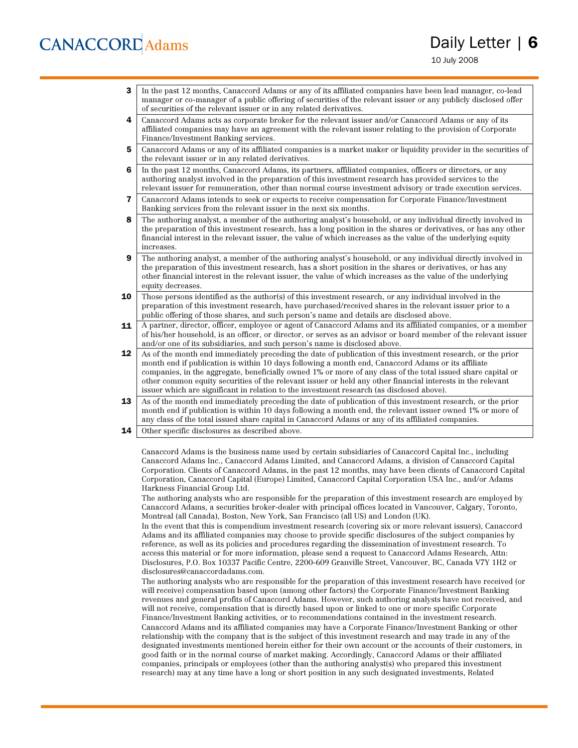10 July 2008

- 3 In the past 12 months, Canaccord Adams or any of its affiliated companies have been lead manager, co-lead manager or co-manager of a public offering of securities of the relevant issuer or any publicly disclosed offer of securities of the relevant issuer or in any related derivatives.
- 4 Canaccord Adams acts as corporate broker for the relevant issuer and/or Canaccord Adams or any of its affiliated companies may have an agreement with the relevant issuer relating to the provision of Corporate Finance/Investment Banking services.
- 5 Canaccord Adams or any of its affiliated companies is a market maker or liquidity provider in the securities of the relevant issuer or in any related derivatives.
- 6 In the past 12 months, Canaccord Adams, its partners, affiliated companies, officers or directors, or any authoring analyst involved in the preparation of this investment research has provided services to the relevant issuer for remuneration, other than normal course investment advisory or trade execution services.
- 7 Canaccord Adams intends to seek or expects to receive compensation for Corporate Finance/Investment Banking services from the relevant issuer in the next six months.
- 8 The authoring analyst, a member of the authoring analyst's household, or any individual directly involved in the preparation of this investment research, has a long position in the shares or derivatives, or has any other financial interest in the relevant issuer, the value of which increases as the value of the underlying equity increases.
- 9 The authoring analyst, a member of the authoring analyst's household, or any individual directly involved in the preparation of this investment research, has a short position in the shares or derivatives, or has any other financial interest in the relevant issuer, the value of which increases as the value of the underlying equity decreases.
- **10** Those persons identified as the author(s) of this investment research, or any individual involved in the preparation of this investment research, have purchased/received shares in the relevant issuer prior to a public offering of those shares, and such person's name and details are disclosed above.
- 11 A partner, director, officer, employee or agent of Canaccord Adams and its affiliated companies, or a member of his/her household, is an officer, or director, or serves as an advisor or board member of the relevant issuer and/or one of its subsidiaries, and such person's name is disclosed above.
- 12 As of the month end immediately preceding the date of publication of this investment research, or the prior month end if publication is within 10 days following a month end, Canaccord Adams or its affiliate companies, in the aggregate, beneficially owned 1% or more of any class of the total issued share capital or other common equity securities of the relevant issuer or held any other financial interests in the relevant issuer which are significant in relation to the investment research (as disclosed above).
- 13 As of the month end immediately preceding the date of publication of this investment research, or the prior month end if publication is within 10 days following a month end, the relevant issuer owned 1% or more of any class of the total issued share capital in Canaccord Adams or any of its affiliated companies.
- **14** Other specific disclosures as described above.

Canaccord Adams is the business name used by certain subsidiaries of Canaccord Capital Inc., including Canaccord Adams Inc., Canaccord Adams Limited, and Canaccord Adams, a division of Canaccord Capital Corporation. Clients of Canaccord Adams, in the past 12 months, may have been clients of Canaccord Capital Corporation, Canaccord Capital (Europe) Limited, Canaccord Capital Corporation USA Inc., and/or Adams Harkness Financial Group Ltd.

The authoring analysts who are responsible for the preparation of this investment research are employed by Canaccord Adams, a securities broker-dealer with principal offices located in Vancouver, Calgary, Toronto, Montreal (all Canada), Boston, New York, San Francisco (all US) and London (UK).

In the event that this is compendium investment research (covering six or more relevant issuers), Canaccord Adams and its affiliated companies may choose to provide specific disclosures of the subject companies by reference, as well as its policies and procedures regarding the dissemination of investment research. To access this material or for more information, please send a request to Canaccord Adams Research, Attn: Disclosures, P.O. Box 10337 Pacific Centre, 2200-609 Granville Street, Vancouver, BC, Canada V7Y 1H2 or disclosures@canaccordadams.com.

The authoring analysts who are responsible for the preparation of this investment research have received (or will receive) compensation based upon (among other factors) the Corporate Finance/Investment Banking revenues and general profits of Canaccord Adams. However, such authoring analysts have not received, and will not receive, compensation that is directly based upon or linked to one or more specific Corporate Finance/Investment Banking activities, or to recommendations contained in the investment research. Canaccord Adams and its affiliated companies may have a Corporate Finance/Investment Banking or other relationship with the company that is the subject of this investment research and may trade in any of the designated investments mentioned herein either for their own account or the accounts of their customers, in good faith or in the normal course of market making. Accordingly, Canaccord Adams or their affiliated companies, principals or employees (other than the authoring analyst(s) who prepared this investment research) may at any time have a long or short position in any such designated investments, Related